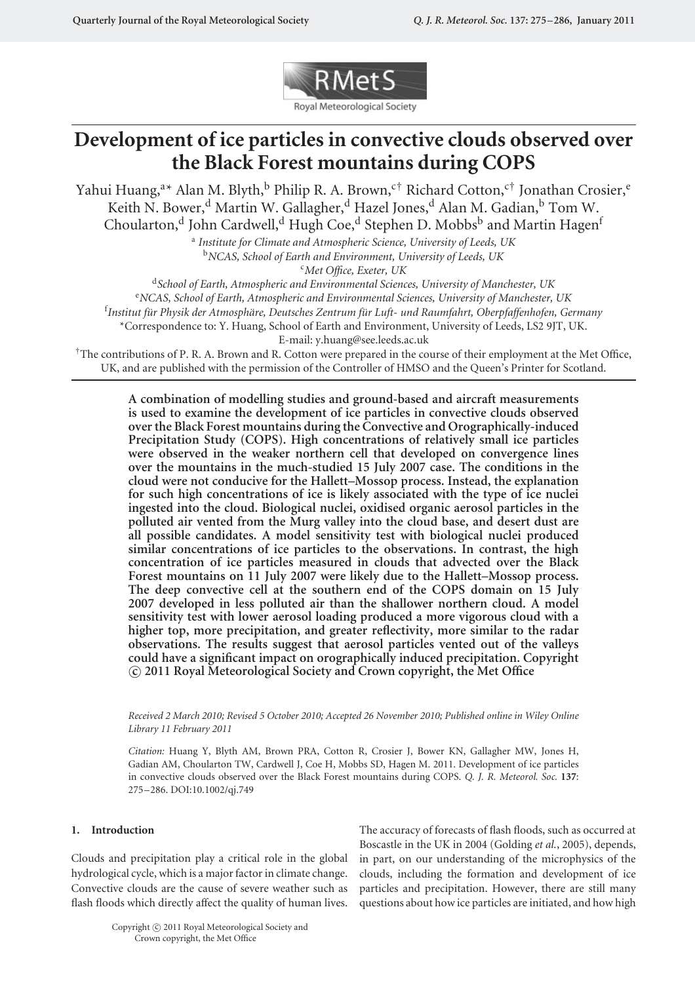

# **Development of ice particles in convective clouds observed over the Black Forest mountains during COPS**

Yahui Huang,<sup>a</sup>\* Alan M. Blyth,<sup>b</sup> Philip R. A. Brown,<sup>c†</sup> Richard Cotton,<sup>c†</sup> Jonathan Crosier,<sup>e</sup> Keith N. Bower,<sup>d</sup> Martin W. Gallagher,<sup>d</sup> Hazel Jones,<sup>d</sup> Alan M. Gadian,<sup>b</sup> Tom W. Choularton,<sup>d</sup> John Cardwell,<sup>d</sup> Hugh Coe,<sup>d</sup> Stephen D. Mobbs<sup>b</sup> and Martin Hagen<sup>f</sup>

<sup>a</sup> *Institute for Climate and Atmospheric Science, University of Leeds, UK* <sup>b</sup>*NCAS, School of Earth and Environment, University of Leeds, UK*

c *Met Office, Exeter, UK*

<sup>d</sup>*School of Earth, Atmospheric and Environmental Sciences, University of Manchester, UK* e *NCAS, School of Earth, Atmospheric and Environmental Sciences, University of Manchester, UK*  $^{\rm f}$ Institut für Physik der Atmosphäre, Deutsches Zentrum für Luft- und Raumfahrt, Oberpfaffenhofen, Germany \*Correspondence to: Y. Huang, School of Earth and Environment, University of Leeds, LS2 9JT, UK.

E-mail: y.huang@see.leeds.ac.uk

 $\dagger$ The contributions of P. R. A. Brown and R. Cotton were prepared in the course of their employment at the Met Office, UK, and are published with the permission of the Controller of HMSO and the Queen's Printer for Scotland.

**A combination of modelling studies and ground-based and aircraft measurements is used to examine the development of ice particles in convective clouds observed over the Black Forest mountains during the Convective and Orographically-induced Precipitation Study (COPS). High concentrations of relatively small ice particles were observed in the weaker northern cell that developed on convergence lines over the mountains in the much-studied 15 July 2007 case. The conditions in the cloud were not conducive for the Hallett–Mossop process. Instead, the explanation for such high concentrations of ice is likely associated with the type of ice nuclei ingested into the cloud. Biological nuclei, oxidised organic aerosol particles in the polluted air vented from the Murg valley into the cloud base, and desert dust are all possible candidates. A model sensitivity test with biological nuclei produced similar concentrations of ice particles to the observations. In contrast, the high concentration of ice particles measured in clouds that advected over the Black Forest mountains on 11 July 2007 were likely due to the Hallett–Mossop process. The deep convective cell at the southern end of the COPS domain on 15 July 2007 developed in less polluted air than the shallower northern cloud. A model sensitivity test with lower aerosol loading produced a more vigorous cloud with a higher top, more precipitation, and greater reflectivity, more similar to the radar observations. The results suggest that aerosol particles vented out of the valleys could have a significant impact on orographically induced precipitation. Copyright c 2011 Royal Meteorological Society and Crown copyright, the Met Office**

*Received 2 March 2010; Revised 5 October 2010; Accepted 26 November 2010; Published online in Wiley Online Library 11 February 2011*

*Citation:* Huang Y, Blyth AM, Brown PRA, Cotton R, Crosier J, Bower KN, Gallagher MW, Jones H, Gadian AM, Choularton TW, Cardwell J, Coe H, Mobbs SD, Hagen M. 2011. Development of ice particles in convective clouds observed over the Black Forest mountains during COPS. *Q. J. R. Meteorol. Soc.* **137**: 275–286. DOI:10.1002/qj.749

# **1. Introduction**

Clouds and precipitation play a critical role in the global hydrological cycle, which is a major factor in climate change. Convective clouds are the cause of severe weather such as flash floods which directly affect the quality of human lives.

The accuracy of forecasts of flash floods, such as occurred at Boscastle in the UK in 2004 (Golding *et al.*, 2005), depends, in part, on our understanding of the microphysics of the clouds, including the formation and development of ice particles and precipitation. However, there are still many questions about how ice particles are initiated, and how high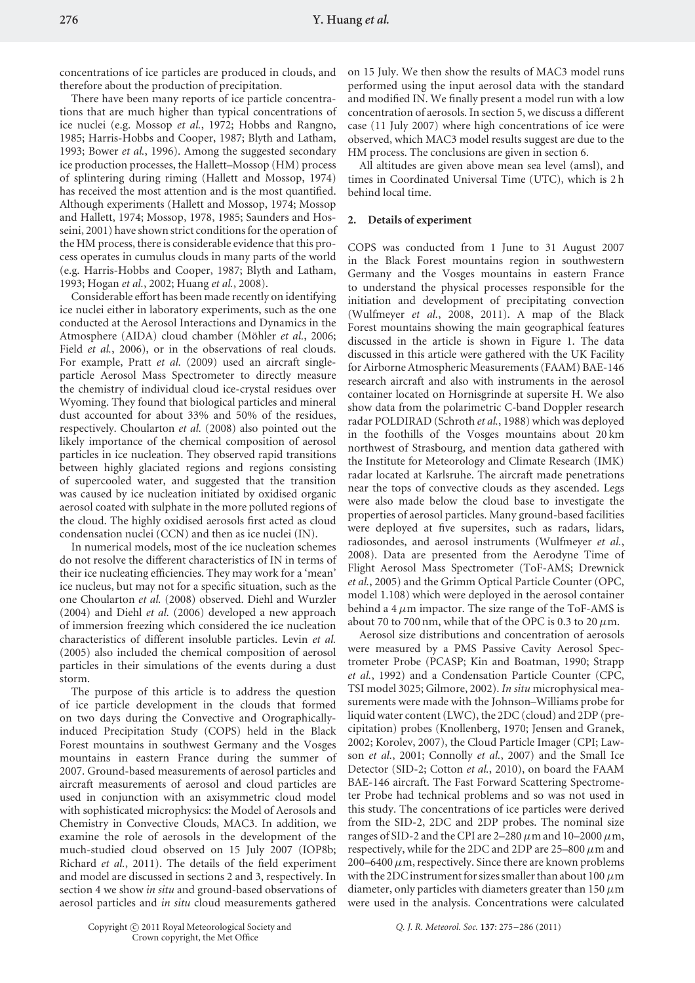concentrations of ice particles are produced in clouds, and therefore about the production of precipitation.

There have been many reports of ice particle concentrations that are much higher than typical concentrations of ice nuclei (e.g. Mossop *et al.*, 1972; Hobbs and Rangno, 1985; Harris-Hobbs and Cooper, 1987; Blyth and Latham, 1993; Bower *et al.*, 1996). Among the suggested secondary ice production processes, the Hallett–Mossop (HM) process of splintering during riming (Hallett and Mossop, 1974) has received the most attention and is the most quantified. Although experiments (Hallett and Mossop, 1974; Mossop and Hallett, 1974; Mossop, 1978, 1985; Saunders and Hosseini, 2001) have shown strict conditions for the operation of the HM process, there is considerable evidence that this process operates in cumulus clouds in many parts of the world (e.g. Harris-Hobbs and Cooper, 1987; Blyth and Latham, 1993; Hogan *et al.*, 2002; Huang *et al.*, 2008).

Considerable effort has been made recently on identifying ice nuclei either in laboratory experiments, such as the one conducted at the Aerosol Interactions and Dynamics in the Atmosphere (AIDA) cloud chamber (Möhler et al., 2006; Field *et al.*, 2006), or in the observations of real clouds. For example, Pratt *et al.* (2009) used an aircraft singleparticle Aerosol Mass Spectrometer to directly measure the chemistry of individual cloud ice-crystal residues over Wyoming. They found that biological particles and mineral dust accounted for about 33% and 50% of the residues, respectively. Choularton *et al.* (2008) also pointed out the likely importance of the chemical composition of aerosol particles in ice nucleation. They observed rapid transitions between highly glaciated regions and regions consisting of supercooled water, and suggested that the transition was caused by ice nucleation initiated by oxidised organic aerosol coated with sulphate in the more polluted regions of the cloud. The highly oxidised aerosols first acted as cloud condensation nuclei (CCN) and then as ice nuclei (IN).

In numerical models, most of the ice nucleation schemes do not resolve the different characteristics of IN in terms of their ice nucleating efficiencies. They may work for a 'mean' ice nucleus, but may not for a specific situation, such as the one Choularton *et al.* (2008) observed. Diehl and Wurzler (2004) and Diehl *et al.* (2006) developed a new approach of immersion freezing which considered the ice nucleation characteristics of different insoluble particles. Levin *et al.* (2005) also included the chemical composition of aerosol particles in their simulations of the events during a dust storm.

The purpose of this article is to address the question of ice particle development in the clouds that formed on two days during the Convective and Orographicallyinduced Precipitation Study (COPS) held in the Black Forest mountains in southwest Germany and the Vosges mountains in eastern France during the summer of 2007. Ground-based measurements of aerosol particles and aircraft measurements of aerosol and cloud particles are used in conjunction with an axisymmetric cloud model with sophisticated microphysics: the Model of Aerosols and Chemistry in Convective Clouds, MAC3. In addition, we examine the role of aerosols in the development of the much-studied cloud observed on 15 July 2007 (IOP8b; Richard *et al.*, 2011). The details of the field experiment and model are discussed in sections 2 and 3, respectively. In section 4 we show *in situ* and ground-based observations of aerosol particles and *in situ* cloud measurements gathered

on 15 July. We then show the results of MAC3 model runs performed using the input aerosol data with the standard and modified IN. We finally present a model run with a low concentration of aerosols. In section 5, we discuss a different case (11 July 2007) where high concentrations of ice were observed, which MAC3 model results suggest are due to the HM process. The conclusions are given in section 6.

All altitudes are given above mean sea level (amsl), and times in Coordinated Universal Time (UTC), which is 2 h behind local time.

## **2. Details of experiment**

COPS was conducted from 1 June to 31 August 2007 in the Black Forest mountains region in southwestern Germany and the Vosges mountains in eastern France to understand the physical processes responsible for the initiation and development of precipitating convection (Wulfmeyer *et al.*, 2008, 2011). A map of the Black Forest mountains showing the main geographical features discussed in the article is shown in Figure 1. The data discussed in this article were gathered with the UK Facility for Airborne Atmospheric Measurements (FAAM) BAE-146 research aircraft and also with instruments in the aerosol container located on Hornisgrinde at supersite H. We also show data from the polarimetric C-band Doppler research radar POLDIRAD (Schroth *et al.*, 1988) which was deployed in the foothills of the Vosges mountains about 20 km northwest of Strasbourg, and mention data gathered with the Institute for Meteorology and Climate Research (IMK) radar located at Karlsruhe. The aircraft made penetrations near the tops of convective clouds as they ascended. Legs were also made below the cloud base to investigate the properties of aerosol particles. Many ground-based facilities were deployed at five supersites, such as radars, lidars, radiosondes, and aerosol instruments (Wulfmeyer *et al.*, 2008). Data are presented from the Aerodyne Time of Flight Aerosol Mass Spectrometer (ToF-AMS; Drewnick *et al.*, 2005) and the Grimm Optical Particle Counter (OPC, model 1.108) which were deployed in the aerosol container behind a 4*µ*m impactor. The size range of the ToF-AMS is about 70 to 700 nm, while that of the OPC is 0.3 to 20  $\mu$ m.

Aerosol size distributions and concentration of aerosols were measured by a PMS Passive Cavity Aerosol Spectrometer Probe (PCASP; Kin and Boatman, 1990; Strapp *et al.*, 1992) and a Condensation Particle Counter (CPC, TSI model 3025; Gilmore, 2002). *In situ* microphysical measurements were made with the Johnson–Williams probe for liquid water content (LWC), the 2DC (cloud) and 2DP (precipitation) probes (Knollenberg, 1970; Jensen and Granek, 2002; Korolev, 2007), the Cloud Particle Imager (CPI; Lawson *et al.*, 2001; Connolly *et al.*, 2007) and the Small Ice Detector (SID-2; Cotton *et al.*, 2010), on board the FAAM BAE-146 aircraft. The Fast Forward Scattering Spectrometer Probe had technical problems and so was not used in this study. The concentrations of ice particles were derived from the SID-2, 2DC and 2DP probes. The nominal size ranges of SID-2 and the CPI are 2–280*µ*m and 10–2000*µ*m, respectively, while for the 2DC and 2DP are 25–800*µ*m and 200–6400*µ*m, respectively. Since there are known problems with the 2DC instrument for sizes smaller than about 100*µ*m diameter, only particles with diameters greater than 150*µ*m were used in the analysis. Concentrations were calculated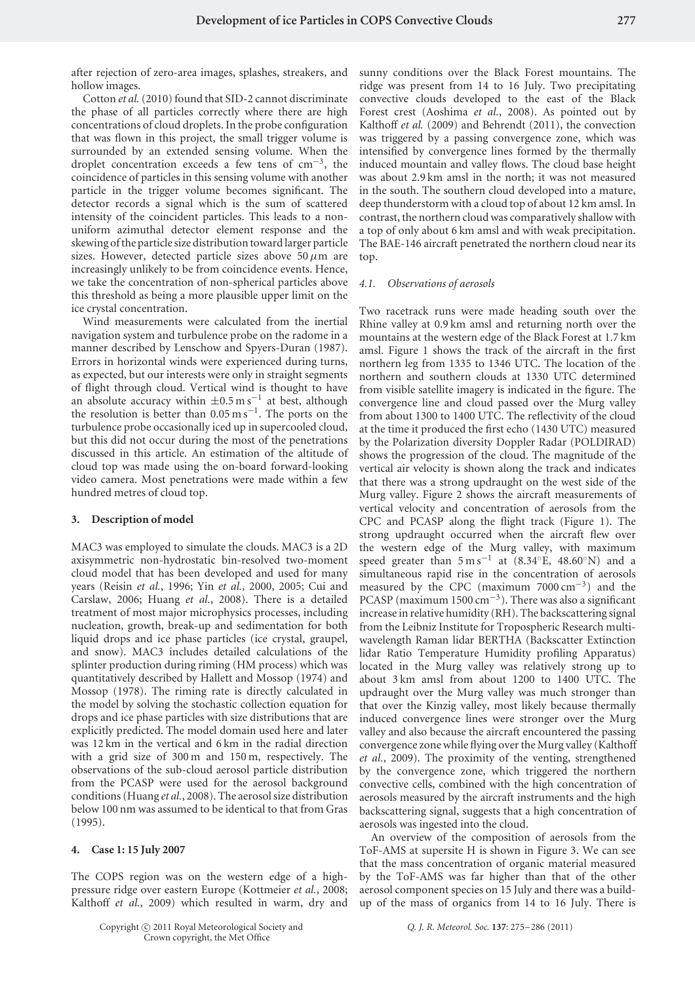after rejection of zero-area images, splashes, streakers, and hollow images.

Cotton *et al.*(2010) found that SID-2 cannot discriminate the phase of all particles correctly where there are high concentrations of cloud droplets. In the probe configuration that was flown in this project, the small trigger volume is surrounded by an extended sensing volume. When the droplet concentration exceeds a few tens of  $cm^{-3}$ , the coincidence of particles in this sensing volume with another particle in the trigger volume becomes significant. The detector records a signal which is the sum of scattered intensity of the coincident particles. This leads to a nonuniform azimuthal detector element response and the skewing of the particle size distribution toward larger particle sizes. However, detected particle sizes above 50*µ*m are increasingly unlikely to be from coincidence events. Hence, we take the concentration of non-spherical particles above this threshold as being a more plausible upper limit on the ice crystal concentration.

Wind measurements were calculated from the inertial navigation system and turbulence probe on the radome in a manner described by Lenschow and Spyers-Duran (1987). Errors in horizontal winds were experienced during turns, as expected, but our interests were only in straight segments of flight through cloud. Vertical wind is thought to have an absolute accuracy within  $\pm 0.5$  m s<sup>-1</sup> at best, although the resolution is better than  $0.05 \text{ m s}^{-1}$ . The ports on the turbulence probe occasionally iced up in supercooled cloud, but this did not occur during the most of the penetrations discussed in this article. An estimation of the altitude of cloud top was made using the on-board forward-looking video camera. Most penetrations were made within a few hundred metres of cloud top.

# **3. Description of model**

MAC3 was employed to simulate the clouds. MAC3 is a 2D axisymmetric non-hydrostatic bin-resolved two-moment cloud model that has been developed and used for many years (Reisin *et al.*, 1996; Yin *et al.*, 2000, 2005; Cui and Carslaw, 2006; Huang *et al.*, 2008). There is a detailed treatment of most major microphysics processes, including nucleation, growth, break-up and sedimentation for both liquid drops and ice phase particles (ice crystal, graupel, and snow). MAC3 includes detailed calculations of the splinter production during riming (HM process) which was quantitatively described by Hallett and Mossop (1974) and Mossop (1978). The riming rate is directly calculated in the model by solving the stochastic collection equation for drops and ice phase particles with size distributions that are explicitly predicted. The model domain used here and later was 12 km in the vertical and 6 km in the radial direction with a grid size of 300 m and 150 m, respectively. The observations of the sub-cloud aerosol particle distribution from the PCASP were used for the aerosol background conditions (Huang *et al.*, 2008). The aerosol size distribution below 100 nm was assumed to be identical to that from Gras (1995).

## **4. Case 1: 15 July 2007**

The COPS region was on the western edge of a highpressure ridge over eastern Europe (Kottmeier *et al.*, 2008; Kalthoff *et al.*, 2009) which resulted in warm, dry and sunny conditions over the Black Forest mountains. The ridge was present from 14 to 16 July. Two precipitating convective clouds developed to the east of the Black Forest crest (Aoshima *et al.*, 2008). As pointed out by Kalthoff *et al.* (2009) and Behrendt (2011), the convection was triggered by a passing convergence zone, which was intensified by convergence lines formed by the thermally induced mountain and valley flows. The cloud base height was about 2.9 km amsl in the north; it was not measured in the south. The southern cloud developed into a mature, deep thunderstorm with a cloud top of about 12 km amsl. In contrast, the northern cloud was comparatively shallow with a top of only about 6 km amsl and with weak precipitation. The BAE-146 aircraft penetrated the northern cloud near its top.

#### *4.1. Observations of aerosols*

Two racetrack runs were made heading south over the Rhine valley at 0.9 km amsl and returning north over the mountains at the western edge of the Black Forest at 1.7 km amsl. Figure 1 shows the track of the aircraft in the first northern leg from 1335 to 1346 UTC. The location of the northern and southern clouds at 1330 UTC determined from visible satellite imagery is indicated in the figure. The convergence line and cloud passed over the Murg valley from about 1300 to 1400 UTC. The reflectivity of the cloud at the time it produced the first echo (1430 UTC) measured by the Polarization diversity Doppler Radar (POLDIRAD) shows the progression of the cloud. The magnitude of the vertical air velocity is shown along the track and indicates that there was a strong updraught on the west side of the Murg valley. Figure 2 shows the aircraft measurements of vertical velocity and concentration of aerosols from the CPC and PCASP along the flight track (Figure 1). The strong updraught occurred when the aircraft flew over the western edge of the Murg valley, with maximum speed greater than  $5 \text{ m s}^{-1}$  at  $(8.34°\text{E}, 48.60°\text{N})$  and a simultaneous rapid rise in the concentration of aerosols measured by the CPC (maximum 7000 cm−3) and the PCASP (maximum 1500 cm<sup>-3</sup>). There was also a significant increase in relative humidity (RH). The backscattering signal from the Leibniz Institute for Tropospheric Research multiwavelength Raman lidar BERTHA (Backscatter Extinction lidar Ratio Temperature Humidity profiling Apparatus) located in the Murg valley was relatively strong up to about 3 km amsl from about 1200 to 1400 UTC. The updraught over the Murg valley was much stronger than that over the Kinzig valley, most likely because thermally induced convergence lines were stronger over the Murg valley and also because the aircraft encountered the passing convergence zone while flying over the Murg valley (Kalthoff *et al.*, 2009). The proximity of the venting, strengthened by the convergence zone, which triggered the northern convective cells, combined with the high concentration of aerosols measured by the aircraft instruments and the high backscattering signal, suggests that a high concentration of aerosols was ingested into the cloud.

An overview of the composition of aerosols from the ToF-AMS at supersite H is shown in Figure 3. We can see that the mass concentration of organic material measured by the ToF-AMS was far higher than that of the other aerosol component species on 15 July and there was a buildup of the mass of organics from 14 to 16 July. There is

*Q. J. R. Meteorol. Soc.* **137**: 275–286 (2011)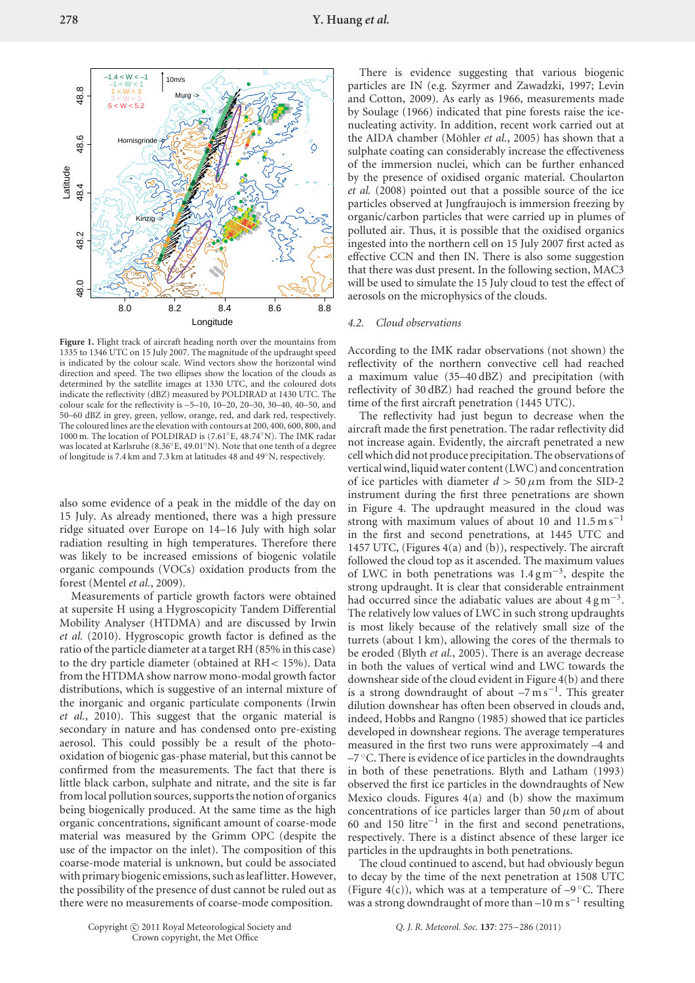Figure 1. Flight track of aircraft heading north over the mountains from 1335 to 1346 UTC on 15 July 2007. The magnitude of the updraught speed is indicated by the colour scale. Wind vectors show the horizontal wind direction and speed. The two ellipses show the location of the clouds as determined by the satellite images at 1330 UTC, and the coloured dots indicate the reflectivity (dBZ) measured by POLDIRAD at 1430 UTC. The colour scale for the reflectivity is –5–10, 10–20, 20–30, 30–40, 40–50, and 50–60 dBZ in grey, green, yellow, orange, red, and dark red, respectively. The coloured lines are the elevation with contours at 200, 400, 600, 800, and 1000 m. The location of POLDIRAD is (7.61◦E, 48.74◦N). The IMK radar was located at Karlsruhe (8.36◦E, 49.01◦N). Note that one tenth of a degree of longitude is 7.4 km and 7.3 km at latitudes 48 and 49◦N, respectively.

also some evidence of a peak in the middle of the day on 15 July. As already mentioned, there was a high pressure ridge situated over Europe on 14–16 July with high solar radiation resulting in high temperatures. Therefore there was likely to be increased emissions of biogenic volatile organic compounds (VOCs) oxidation products from the forest (Mentel *et al.*, 2009).

Measurements of particle growth factors were obtained at supersite H using a Hygroscopicity Tandem Differential Mobility Analyser (HTDMA) and are discussed by Irwin *et al.* (2010). Hygroscopic growth factor is defined as the ratio of the particle diameter at a target RH (85% in this case) to the dry particle diameter (obtained at RH*<* 15%). Data from the HTDMA show narrow mono-modal growth factor distributions, which is suggestive of an internal mixture of the inorganic and organic particulate components (Irwin *et al.*, 2010). This suggest that the organic material is secondary in nature and has condensed onto pre-existing aerosol. This could possibly be a result of the photooxidation of biogenic gas-phase material, but this cannot be confirmed from the measurements. The fact that there is little black carbon, sulphate and nitrate, and the site is far from local pollution sources, supports the notion of organics being biogenically produced. At the same time as the high organic concentrations, significant amount of coarse-mode material was measured by the Grimm OPC (despite the use of the impactor on the inlet). The composition of this coarse-mode material is unknown, but could be associated with primary biogenic emissions, such as leaf litter. However, the possibility of the presence of dust cannot be ruled out as there were no measurements of coarse-mode composition.

There is evidence suggesting that various biogenic particles are IN (e.g. Szyrmer and Zawadzki, 1997; Levin and Cotton, 2009). As early as 1966, measurements made by Soulage (1966) indicated that pine forests raise the icenucleating activity. In addition, recent work carried out at the AIDA chamber (Möhler et al., 2005) has shown that a sulphate coating can considerably increase the effectiveness of the immersion nuclei, which can be further enhanced by the presence of oxidised organic material. Choularton *et al.* (2008) pointed out that a possible source of the ice particles observed at Jungfraujoch is immersion freezing by organic/carbon particles that were carried up in plumes of polluted air. Thus, it is possible that the oxidised organics ingested into the northern cell on 15 July 2007 first acted as effective CCN and then IN. There is also some suggestion that there was dust present. In the following section, MAC3 will be used to simulate the 15 July cloud to test the effect of aerosols on the microphysics of the clouds.

#### *4.2. Cloud observations*

According to the IMK radar observations (not shown) the reflectivity of the northern convective cell had reached a maximum value (35–40 dBZ) and precipitation (with reflectivity of 30 dBZ) had reached the ground before the time of the first aircraft penetration (1445 UTC).

The reflectivity had just begun to decrease when the aircraft made the first penetration. The radar reflectivity did not increase again. Evidently, the aircraft penetrated a new cell which did not produce precipitation. The observations of vertical wind, liquid water content (LWC) and concentration of ice particles with diameter  $d > 50 \mu m$  from the SID-2 instrument during the first three penetrations are shown in Figure 4. The updraught measured in the cloud was strong with maximum values of about 10 and 11.5 m s<sup>-1</sup> in the first and second penetrations, at 1445 UTC and 1457 UTC, (Figures 4(a) and (b)), respectively. The aircraft followed the cloud top as it ascended. The maximum values of LWC in both penetrations was  $1.4 \text{ g m}^{-3}$ , despite the strong updraught. It is clear that considerable entrainment had occurred since the adiabatic values are about  $4 \text{ g m}^{-3}$ . The relatively low values of LWC in such strong updraughts is most likely because of the relatively small size of the turrets (about 1 km), allowing the cores of the thermals to be eroded (Blyth *et al.*, 2005). There is an average decrease in both the values of vertical wind and LWC towards the downshear side of the cloud evident in Figure 4(b) and there is a strong downdraught of about  $-7 \text{ m s}^{-1}$ . This greater dilution downshear has often been observed in clouds and, indeed, Hobbs and Rangno (1985) showed that ice particles developed in downshear regions. The average temperatures measured in the first two runs were approximately –4 and  $-7$  °C. There is evidence of ice particles in the downdraughts in both of these penetrations. Blyth and Latham (1993) observed the first ice particles in the downdraughts of New Mexico clouds. Figures 4(a) and (b) show the maximum concentrations of ice particles larger than 50 $\mu$ m of about 60 and 150 litre−<sup>1</sup> in the first and second penetrations, respectively. There is a distinct absence of these larger ice particles in the updraughts in both penetrations.

The cloud continued to ascend, but had obviously begun to decay by the time of the next penetration at 1508 UTC (Figure 4(c)), which was at a temperature of  $-9^{\circ}$ C. There was a strong downdraught of more than –10 m s<sup>-1</sup> resulting

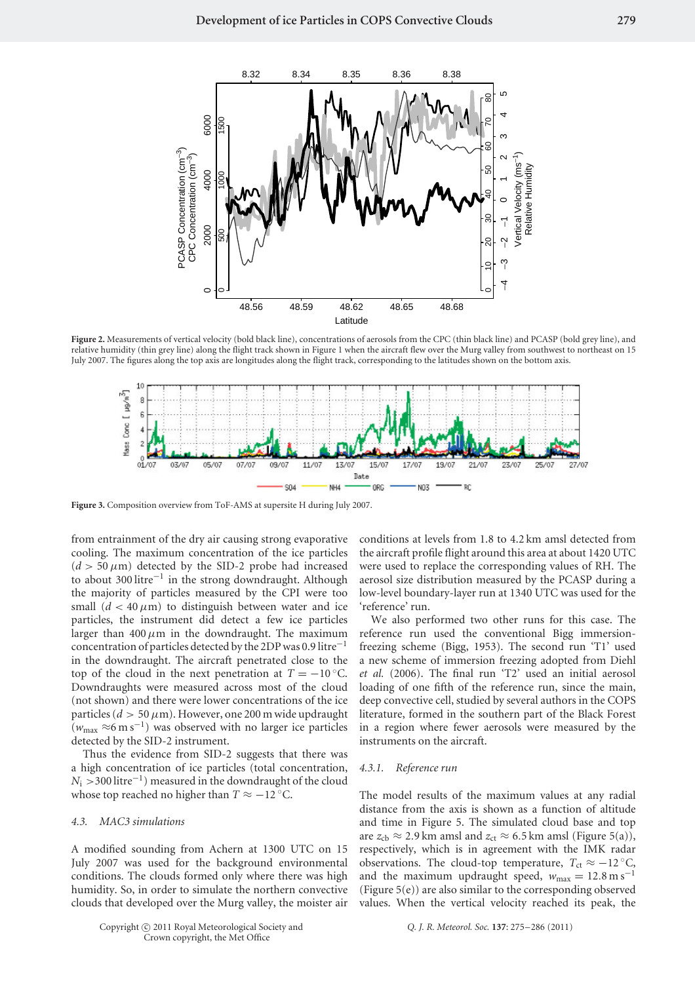

**Figure 2.** Measurements of vertical velocity (bold black line), concentrations of aerosols from the CPC (thin black line) and PCASP (bold grey line), and relative humidity (thin grey line) along the flight track shown in Figure 1 when the aircraft flew over the Murg valley from southwest to northeast on 15 July 2007. The figures along the top axis are longitudes along the flight track, corresponding to the latitudes shown on the bottom axis.



**Figure 3.** Composition overview from ToF-AMS at supersite H during July 2007.

from entrainment of the dry air causing strong evaporative cooling. The maximum concentration of the ice particles  $(d > 50 \,\mu\text{m})$  detected by the SID-2 probe had increased to about 300 litre−<sup>1</sup> in the strong downdraught. Although the majority of particles measured by the CPI were too small  $(d < 40 \mu m)$  to distinguish between water and ice particles, the instrument did detect a few ice particles larger than  $400 \mu m$  in the downdraught. The maximum concentration of particles detected by the 2DP was 0.9 litre−<sup>1</sup> in the downdraught. The aircraft penetrated close to the top of the cloud in the next penetration at  $T = -10$  °C. Downdraughts were measured across most of the cloud (not shown) and there were lower concentrations of the ice particles ( $d > 50 \mu$ m). However, one 200 m wide updraught (*w*max <sup>≈</sup>6ms−1) was observed with no larger ice particles detected by the SID-2 instrument.

Thus the evidence from SID-2 suggests that there was a high concentration of ice particles (total concentration, *N*<sub>i</sub> > 300 litre<sup>−1</sup>) measured in the downdraught of the cloud whose top reached no higher than  $T \approx -12$  °C.

## *4.3. MAC3 simulations*

A modified sounding from Achern at 1300 UTC on 15 July 2007 was used for the background environmental conditions. The clouds formed only where there was high humidity. So, in order to simulate the northern convective clouds that developed over the Murg valley, the moister air conditions at levels from 1.8 to 4.2 km amsl detected from the aircraft profile flight around this area at about 1420 UTC were used to replace the corresponding values of RH. The aerosol size distribution measured by the PCASP during a low-level boundary-layer run at 1340 UTC was used for the 'reference' run. We also performed two other runs for this case. The

reference run used the conventional Bigg immersionfreezing scheme (Bigg, 1953). The second run 'T1' used a new scheme of immersion freezing adopted from Diehl *et al.* (2006). The final run 'T2' used an initial aerosol loading of one fifth of the reference run, since the main, deep convective cell, studied by several authors in the COPS literature, formed in the southern part of the Black Forest in a region where fewer aerosols were measured by the instruments on the aircraft.

#### *4.3.1. Reference run*

The model results of the maximum values at any radial distance from the axis is shown as a function of altitude and time in Figure 5. The simulated cloud base and top are  $z_{\text{cb}} \approx 2.9 \text{ km}$  amsl and  $z_{\text{ct}} \approx 6.5 \text{ km}$  amsl (Figure 5(a)), respectively, which is in agreement with the IMK radar observations. The cloud-top temperature,  $T_{\rm ct} \approx -12$  °C, and the maximum updraught speed,  $w_{\text{max}} = 12.8 \text{ m s}^{-1}$ (Figure 5(e)) are also similar to the corresponding observed values. When the vertical velocity reached its peak, the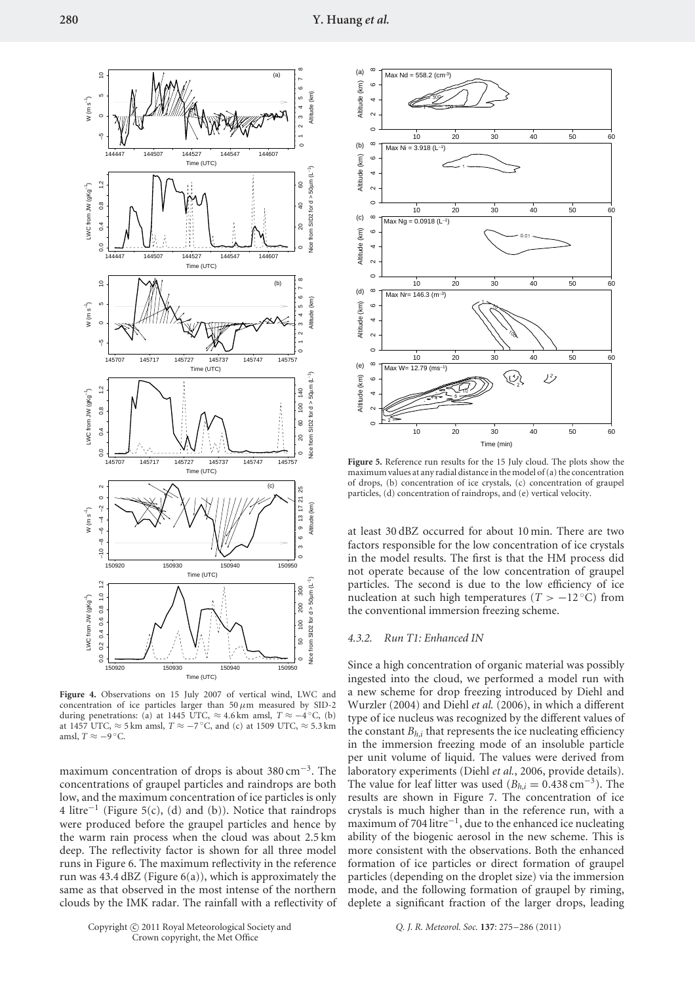

**Figure 4.** Observations on 15 July 2007 of vertical wind, LWC and concentration of ice particles larger than 50*µ*m measured by SID-2 during penetrations: (a) at 1445 UTC, ≈ 4*.*6 km amsl, *T* ≈ −4 ◦C, (b) at 1457 UTC,  $\approx$  5 km amsl,  $T \approx -7$ °C, and (c) at 1509 UTC,  $\approx$  5.3 km amsl,  $T \approx -9$  °C.

maximum concentration of drops is about  $380 \text{ cm}^{-3}$ . The concentrations of graupel particles and raindrops are both low, and the maximum concentration of ice particles is only 4 litre−<sup>1</sup> (Figure 5(c), (d) and (b)). Notice that raindrops were produced before the graupel particles and hence by the warm rain process when the cloud was about 2.5 km deep. The reflectivity factor is shown for all three model runs in Figure 6. The maximum reflectivity in the reference run was  $43.4$  dBZ (Figure  $6(a)$ ), which is approximately the same as that observed in the most intense of the northern clouds by the IMK radar. The rainfall with a reflectivity of



**Figure 5.** Reference run results for the 15 July cloud. The plots show the maximum values at any radial distance in the model of (a) the concentration of drops, (b) concentration of ice crystals, (c) concentration of graupel particles, (d) concentration of raindrops, and (e) vertical velocity.

at least 30 dBZ occurred for about 10 min. There are two factors responsible for the low concentration of ice crystals in the model results. The first is that the HM process did not operate because of the low concentration of graupel particles. The second is due to the low efficiency of ice nucleation at such high temperatures ( $T > -12$  °C) from the conventional immersion freezing scheme.

#### *4.3.2. Run T1: Enhanced IN*

Since a high concentration of organic material was possibly ingested into the cloud, we performed a model run with a new scheme for drop freezing introduced by Diehl and Wurzler (2004) and Diehl *et al.* (2006), in which a different type of ice nucleus was recognized by the different values of the constant  $B_{h,i}$  that represents the ice nucleating efficiency in the immersion freezing mode of an insoluble particle per unit volume of liquid. The values were derived from laboratory experiments (Diehl *et al.*, 2006, provide details). The value for leaf litter was used ( $B_{h,i} = 0.438 \text{ cm}^{-3}$ ). The results are shown in Figure 7. The concentration of ice crystals is much higher than in the reference run, with a maximum of 704 litre−1, due to the enhanced ice nucleating ability of the biogenic aerosol in the new scheme. This is more consistent with the observations. Both the enhanced formation of ice particles or direct formation of graupel particles (depending on the droplet size) via the immersion mode, and the following formation of graupel by riming, deplete a significant fraction of the larger drops, leading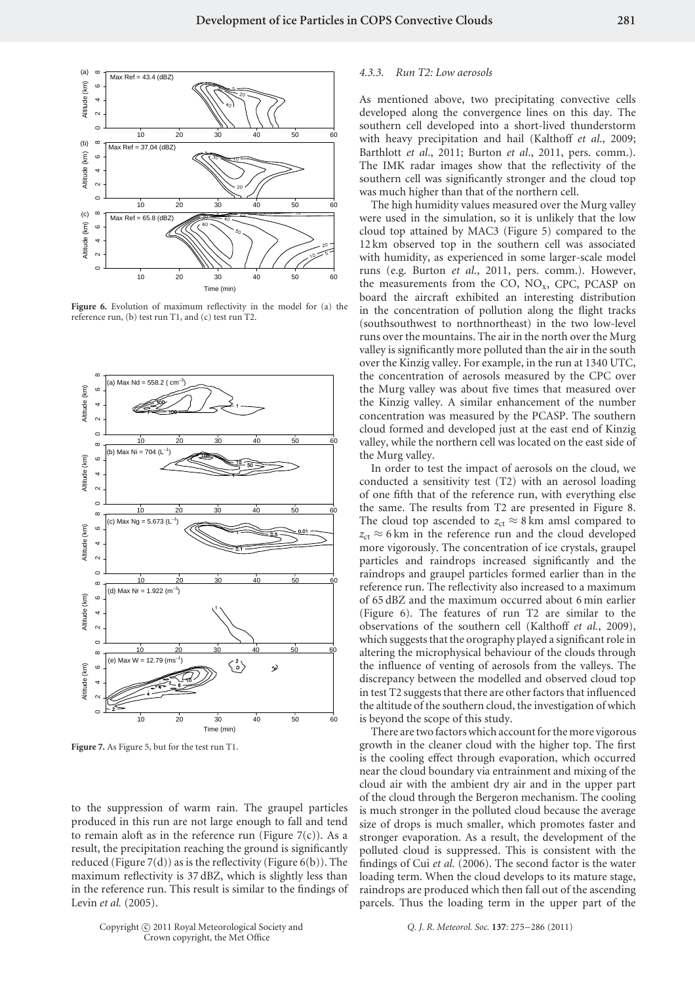

**Figure 6.** Evolution of maximum reflectivity in the model for (a) the reference run, (b) test run T1, and (c) test run T2.



**Figure 7.** As Figure 5, but for the test run T1.

to the suppression of warm rain. The graupel particles produced in this run are not large enough to fall and tend to remain aloft as in the reference run (Figure  $7(c)$ ). As a result, the precipitation reaching the ground is significantly reduced (Figure  $7(d)$ ) as is the reflectivity (Figure  $6(b)$ ). The maximum reflectivity is 37 dBZ, which is slightly less than in the reference run. This result is similar to the findings of Levin *et al.* (2005).

# *4.3.3. Run T2: Low aerosols*

As mentioned above, two precipitating convective cells developed along the convergence lines on this day. The southern cell developed into a short-lived thunderstorm with heavy precipitation and hail (Kalthoff *et al*., 2009; Barthlott *et al*., 2011; Burton *et al*., 2011, pers. comm.). The IMK radar images show that the reflectivity of the southern cell was significantly stronger and the cloud top was much higher than that of the northern cell.

The high humidity values measured over the Murg valley were used in the simulation, so it is unlikely that the low cloud top attained by MAC3 (Figure 5) compared to the 12 km observed top in the southern cell was associated with humidity, as experienced in some larger-scale model runs (e.g. Burton *et al*., 2011, pers. comm.). However, the measurements from the CO,  $NO<sub>x</sub>$ , CPC, PCASP on board the aircraft exhibited an interesting distribution in the concentration of pollution along the flight tracks (southsouthwest to northnortheast) in the two low-level runs over the mountains. The air in the north over the Murg valley is significantly more polluted than the air in the south over the Kinzig valley. For example, in the run at 1340 UTC, the concentration of aerosols measured by the CPC over the Murg valley was about five times that measured over the Kinzig valley. A similar enhancement of the number concentration was measured by the PCASP. The southern cloud formed and developed just at the east end of Kinzig valley, while the northern cell was located on the east side of the Murg valley.

In order to test the impact of aerosols on the cloud, we conducted a sensitivity test (T2) with an aerosol loading of one fifth that of the reference run, with everything else the same. The results from T2 are presented in Figure 8. The cloud top ascended to  $z_{ct} \approx 8$  km amsl compared to  $z_{ct} \approx 6$  km in the reference run and the cloud developed more vigorously. The concentration of ice crystals, graupel particles and raindrops increased significantly and the raindrops and graupel particles formed earlier than in the reference run. The reflectivity also increased to a maximum of 65 dBZ and the maximum occurred about 6 min earlier (Figure 6). The features of run T2 are similar to the observations of the southern cell (Kalthoff *et al.*, 2009), which suggests that the orography played a significant role in altering the microphysical behaviour of the clouds through the influence of venting of aerosols from the valleys. The discrepancy between the modelled and observed cloud top in test T2 suggests that there are other factors that influenced the altitude of the southern cloud, the investigation of which is beyond the scope of this study.

There are two factors which account for the more vigorous growth in the cleaner cloud with the higher top. The first is the cooling effect through evaporation, which occurred near the cloud boundary via entrainment and mixing of the cloud air with the ambient dry air and in the upper part of the cloud through the Bergeron mechanism. The cooling is much stronger in the polluted cloud because the average size of drops is much smaller, which promotes faster and stronger evaporation. As a result, the development of the polluted cloud is suppressed. This is consistent with the findings of Cui *et al.* (2006). The second factor is the water loading term. When the cloud develops to its mature stage, raindrops are produced which then fall out of the ascending parcels. Thus the loading term in the upper part of the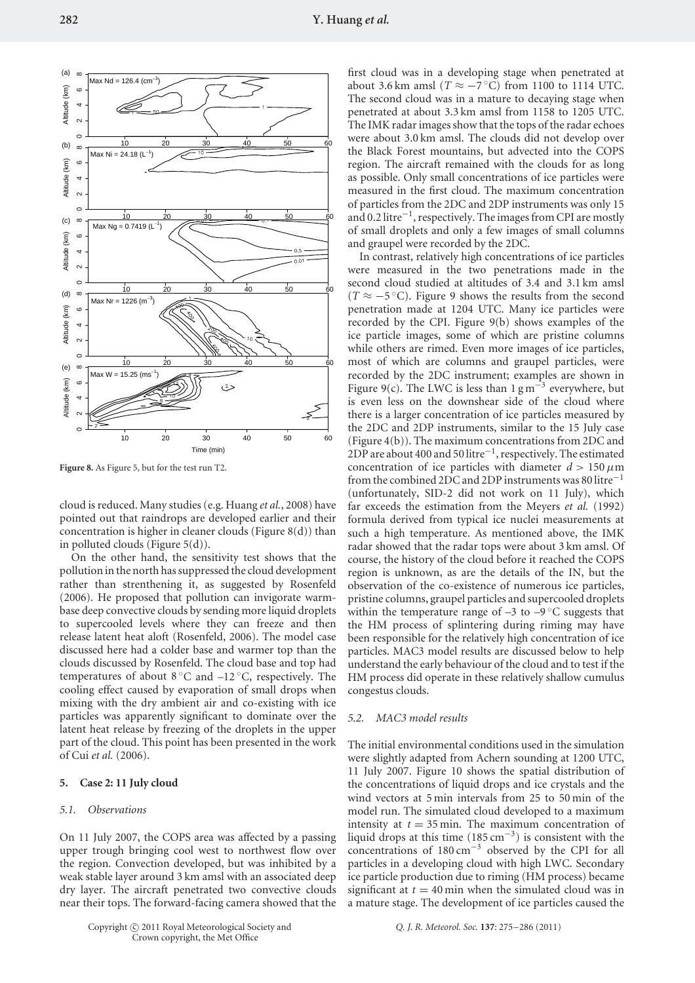

**Figure 8.** As Figure 5, but for the test run T2.

cloud is reduced. Many studies (e.g. Huang *et al.*, 2008) have pointed out that raindrops are developed earlier and their concentration is higher in cleaner clouds (Figure 8(d)) than in polluted clouds (Figure 5(d)).

On the other hand, the sensitivity test shows that the pollution in the north has suppressed the cloud development rather than strenthening it, as suggested by Rosenfeld (2006). He proposed that pollution can invigorate warmbase deep convective clouds by sending more liquid droplets to supercooled levels where they can freeze and then release latent heat aloft (Rosenfeld, 2006). The model case discussed here had a colder base and warmer top than the clouds discussed by Rosenfeld. The cloud base and top had temperatures of about  $8^{\circ}$ C and  $-12^{\circ}$ C, respectively. The cooling effect caused by evaporation of small drops when mixing with the dry ambient air and co-existing with ice particles was apparently significant to dominate over the latent heat release by freezing of the droplets in the upper part of the cloud. This point has been presented in the work of Cui *et al.* (2006).

# **5. Case 2: 11 July cloud**

## *5.1. Observations*

On 11 July 2007, the COPS area was affected by a passing upper trough bringing cool west to northwest flow over the region. Convection developed, but was inhibited by a weak stable layer around 3 km amsl with an associated deep dry layer. The aircraft penetrated two convective clouds near their tops. The forward-facing camera showed that the first cloud was in a developing stage when penetrated at about 3.6 km amsl  $(T \approx -7 \degree C)$  from 1100 to 1114 UTC. The second cloud was in a mature to decaying stage when penetrated at about 3.3 km amsl from 1158 to 1205 UTC. The IMK radar images show that the tops of the radar echoes were about 3.0 km amsl. The clouds did not develop over the Black Forest mountains, but advected into the COPS region. The aircraft remained with the clouds for as long as possible. Only small concentrations of ice particles were measured in the first cloud. The maximum concentration of particles from the 2DC and 2DP instruments was only 15 and 0.2 litre−1, respectively. The images from CPI are mostly of small droplets and only a few images of small columns and graupel were recorded by the 2DC.

In contrast, relatively high concentrations of ice particles were measured in the two penetrations made in the second cloud studied at altitudes of 3.4 and 3.1 km amsl  $(T \approx -5$ °C). Figure 9 shows the results from the second penetration made at 1204 UTC. Many ice particles were recorded by the CPI. Figure 9(b) shows examples of the ice particle images, some of which are pristine columns while others are rimed. Even more images of ice particles, most of which are columns and graupel particles, were recorded by the 2DC instrument; examples are shown in Figure 9(c). The LWC is less than  $1 \text{ g m}^{-3}$  everywhere, but is even less on the downshear side of the cloud where there is a larger concentration of ice particles measured by the 2DC and 2DP instruments, similar to the 15 July case (Figure 4(b)). The maximum concentrations from 2DC and 2DP are about 400 and 50 litre−1, respectively. The estimated concentration of ice particles with diameter  $d > 150 \mu m$ from the combined 2DC and 2DP instruments was 80 litre−<sup>1</sup> (unfortunately, SID-2 did not work on 11 July), which far exceeds the estimation from the Meyers *et al.* (1992) formula derived from typical ice nuclei measurements at such a high temperature. As mentioned above, the IMK radar showed that the radar tops were about 3 km amsl. Of course, the history of the cloud before it reached the COPS region is unknown, as are the details of the IN, but the observation of the co-existence of numerous ice particles, pristine columns, graupel particles and supercooled droplets within the temperature range of  $-3$  to  $-9$  °C suggests that the HM process of splintering during riming may have been responsible for the relatively high concentration of ice particles. MAC3 model results are discussed below to help understand the early behaviour of the cloud and to test if the HM process did operate in these relatively shallow cumulus congestus clouds.

## *5.2. MAC3 model results*

The initial environmental conditions used in the simulation were slightly adapted from Achern sounding at 1200 UTC, 11 July 2007. Figure 10 shows the spatial distribution of the concentrations of liquid drops and ice crystals and the wind vectors at 5 min intervals from 25 to 50 min of the model run. The simulated cloud developed to a maximum intensity at  $t = 35$  min. The maximum concentration of liquid drops at this time (185 cm−3) is consistent with the concentrations of 180 cm−<sup>3</sup> observed by the CPI for all particles in a developing cloud with high LWC. Secondary ice particle production due to riming (HM process) became significant at  $t = 40$  min when the simulated cloud was in a mature stage. The development of ice particles caused the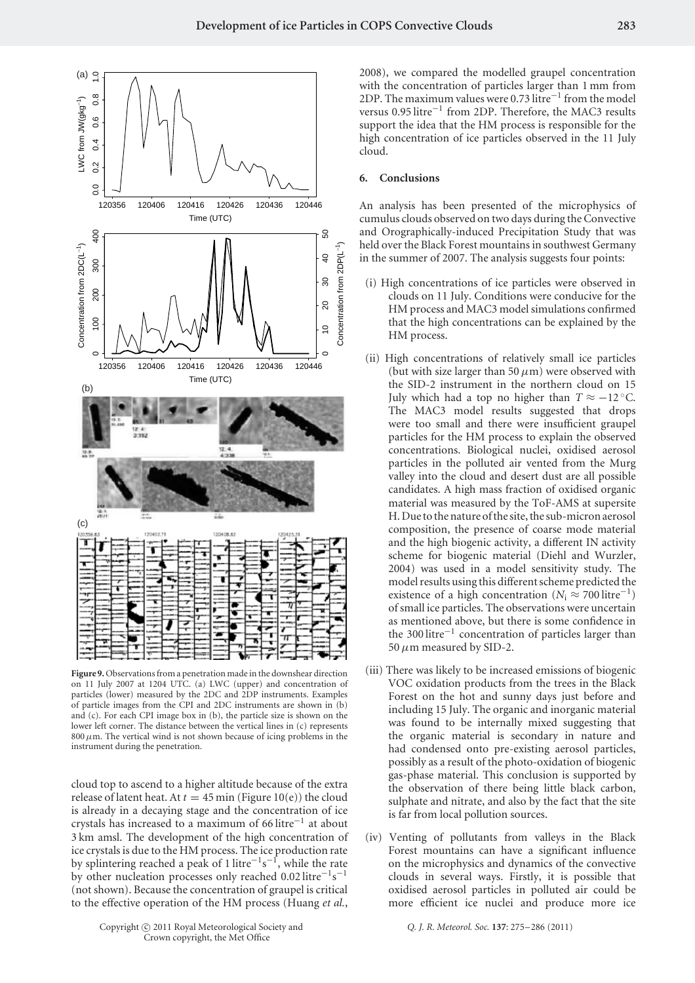

**Figure 9.** Observations from a penetration made in the downshear direction on 11 July 2007 at 1204 UTC. (a) LWC (upper) and concentration of particles (lower) measured by the 2DC and 2DP instruments. Examples of particle images from the CPI and 2DC instruments are shown in (b) and (c). For each CPI image box in (b), the particle size is shown on the lower left corner. The distance between the vertical lines in (c) represents 800*µ*m. The vertical wind is not shown because of icing problems in the instrument during the penetration.

cloud top to ascend to a higher altitude because of the extra release of latent heat. At  $t = 45$  min (Figure 10(e)) the cloud is already in a decaying stage and the concentration of ice crystals has increased to a maximum of 66 litre−<sup>1</sup> at about 3 km amsl. The development of the high concentration of ice crystals is due to the HM process. The ice production rate by splintering reached a peak of 1 litre<sup>-1</sup>s<sup>-1</sup>, while the rate by other nucleation processes only reached 0.02 litre<sup>-1</sup>s<sup>-1</sup> (not shown). Because the concentration of graupel is critical to the effective operation of the HM process (Huang *et al.*,

2008), we compared the modelled graupel concentration with the concentration of particles larger than 1 mm from 2DP. The maximum values were 0.73 litre−<sup>1</sup> from the model versus 0.95 litre−<sup>1</sup> from 2DP. Therefore, the MAC3 results support the idea that the HM process is responsible for the high concentration of ice particles observed in the 11 July cloud.

# **6. Conclusions**

An analysis has been presented of the microphysics of cumulus clouds observed on two days during the Convective and Orographically-induced Precipitation Study that was held over the Black Forest mountains in southwest Germany in the summer of 2007. The analysis suggests four points:

- (i) High concentrations of ice particles were observed in clouds on 11 July. Conditions were conducive for the HM process and MAC3 model simulations confirmed that the high concentrations can be explained by the HM process.
- (ii) High concentrations of relatively small ice particles (but with size larger than 50  $\mu$ m) were observed with the SID-2 instrument in the northern cloud on 15 July which had a top no higher than  $T \approx -12$  °C. The MAC3 model results suggested that drops were too small and there were insufficient graupel particles for the HM process to explain the observed concentrations. Biological nuclei, oxidised aerosol particles in the polluted air vented from the Murg valley into the cloud and desert dust are all possible candidates. A high mass fraction of oxidised organic material was measured by the ToF-AMS at supersite H. Due to the nature of the site, the sub-micron aerosol composition, the presence of coarse mode material and the high biogenic activity, a different IN activity scheme for biogenic material (Diehl and Wurzler, 2004) was used in a model sensitivity study. The model results using this different scheme predicted the existence of a high concentration ( $N_i \approx 700$  litre<sup>-1</sup>) of small ice particles. The observations were uncertain as mentioned above, but there is some confidence in the 300 litre−<sup>1</sup> concentration of particles larger than 50  $\mu$ m measured by SID-2.
- (iii) There was likely to be increased emissions of biogenic VOC oxidation products from the trees in the Black Forest on the hot and sunny days just before and including 15 July. The organic and inorganic material was found to be internally mixed suggesting that the organic material is secondary in nature and had condensed onto pre-existing aerosol particles, possibly as a result of the photo-oxidation of biogenic gas-phase material. This conclusion is supported by the observation of there being little black carbon, sulphate and nitrate, and also by the fact that the site is far from local pollution sources.
- (iv) Venting of pollutants from valleys in the Black Forest mountains can have a significant influence on the microphysics and dynamics of the convective clouds in several ways. Firstly, it is possible that oxidised aerosol particles in polluted air could be more efficient ice nuclei and produce more ice

*Q. J. R. Meteorol. Soc.* **137**: 275–286 (2011)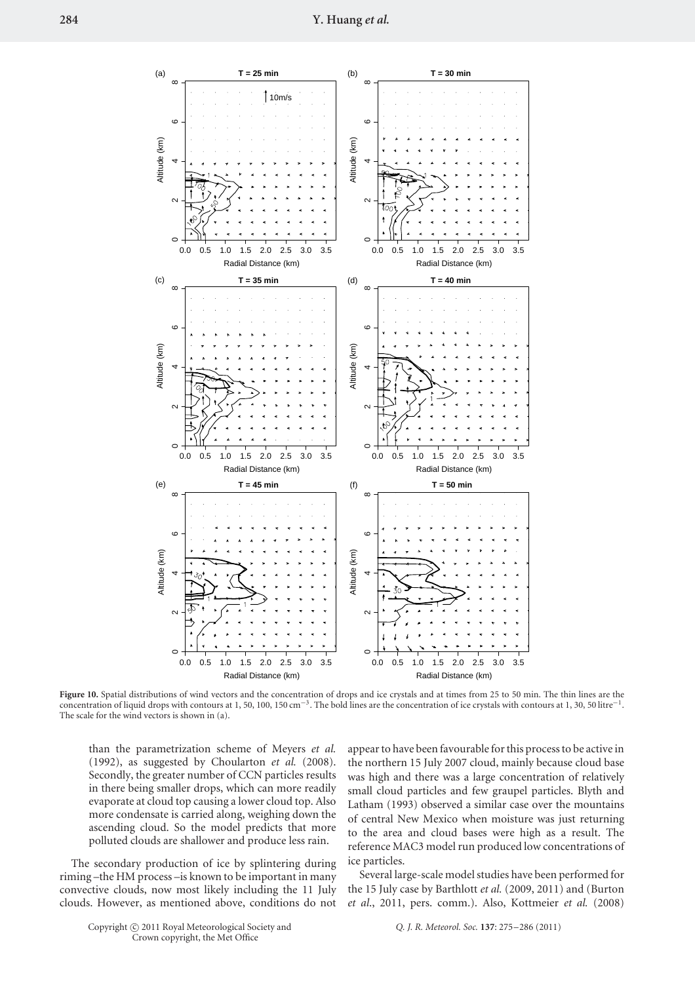

**Figure 10.** Spatial distributions of wind vectors and the concentration of drops and ice crystals and at times from 25 to 50 min. The thin lines are the concentration of liquid drops with contours at 1, 50, 100, 150 cm−3. The bold lines are the concentration of ice crystals with contours at 1, 30, 50 litre−1. The scale for the wind vectors is shown in (a).

than the parametrization scheme of Meyers *et al.* (1992), as suggested by Choularton *et al.* (2008). Secondly, the greater number of CCN particles results in there being smaller drops, which can more readily evaporate at cloud top causing a lower cloud top. Also more condensate is carried along, weighing down the ascending cloud. So the model predicts that more polluted clouds are shallower and produce less rain.

The secondary production of ice by splintering during riming –the HM process –is known to be important in many convective clouds, now most likely including the 11 July clouds. However, as mentioned above, conditions do not appear to have been favourable for this process to be active in the northern 15 July 2007 cloud, mainly because cloud base was high and there was a large concentration of relatively small cloud particles and few graupel particles. Blyth and Latham (1993) observed a similar case over the mountains of central New Mexico when moisture was just returning to the area and cloud bases were high as a result. The reference MAC3 model run produced low concentrations of ice particles.

Several large-scale model studies have been performed for the 15 July case by Barthlott *et al.* (2009, 2011) and (Burton *et al*., 2011, pers. comm.). Also, Kottmeier *et al.* (2008)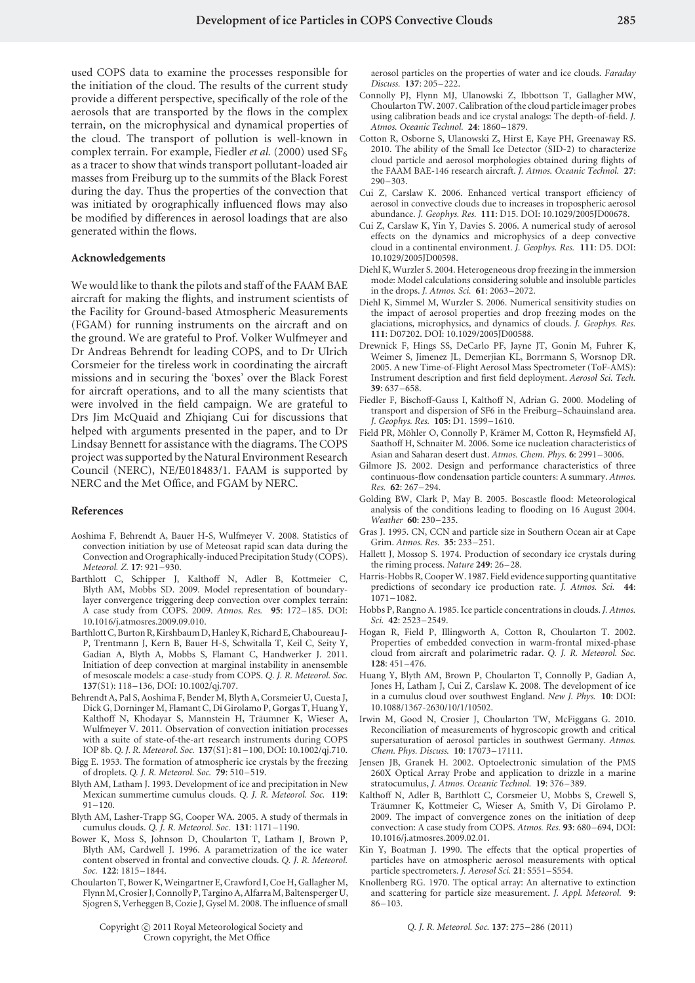used COPS data to examine the processes responsible for the initiation of the cloud. The results of the current study provide a different perspective, specifically of the role of the aerosols that are transported by the flows in the complex terrain, on the microphysical and dynamical properties of the cloud. The transport of pollution is well-known in complex terrain. For example, Fiedler *et al.* (2000) used SF<sub>6</sub> as a tracer to show that winds transport pollutant-loaded air masses from Freiburg up to the summits of the Black Forest during the day. Thus the properties of the convection that was initiated by orographically influenced flows may also be modified by differences in aerosol loadings that are also generated within the flows.

### **Acknowledgements**

We would like to thank the pilots and staff of the FAAM BAE aircraft for making the flights, and instrument scientists of the Facility for Ground-based Atmospheric Measurements (FGAM) for running instruments on the aircraft and on the ground. We are grateful to Prof. Volker Wulfmeyer and Dr Andreas Behrendt for leading COPS, and to Dr Ulrich Corsmeier for the tireless work in coordinating the aircraft missions and in securing the 'boxes' over the Black Forest for aircraft operations, and to all the many scientists that were involved in the field campaign. We are grateful to Drs Jim McQuaid and Zhiqiang Cui for discussions that helped with arguments presented in the paper, and to Dr Lindsay Bennett for assistance with the diagrams. The COPS project was supported by the Natural Environment Research Council (NERC), NE/E018483/1. FAAM is supported by NERC and the Met Office, and FGAM by NERC.

#### **References**

- Aoshima F, Behrendt A, Bauer H-S, Wulfmeyer V. 2008. Statistics of convection initiation by use of Meteosat rapid scan data during the Convection and Orographically-induced Precipitation Study (COPS). *Meteorol. Z.* **17**: 921–930.
- Barthlott C, Schipper J, Kalthoff N, Adler B, Kottmeier C, Blyth AM, Mobbs SD. 2009. Model representation of boundarylayer convergence triggering deep convection over complex terrain: A case study from COPS. 2009. *Atmos. Res.* **95**: 172–185. DOI: 10.1016/j.atmosres.2009.09.010.
- Barthlott C, Burton R, Kirshbaum D, Hanley K, Richard E, Chaboureau J-P, Trentmann J, Kern B, Bauer H-S, Schwitalla T, Keil C, Seity Y, Gadian A, Blyth A, Mobbs S, Flamant C, Handwerker J. 2011. Initiation of deep convection at marginal instability in anensemble of mesoscale models: a case-study from COPS. *Q. J. R. Meteorol. Soc.* **137**(S1): 118–136, DOI: 10.1002/qj.707.
- Behrendt A, Pal S, Aoshima F, Bender M, Blyth A, Corsmeier U, Cuesta J, Dick G, Dorninger M, Flamant C, Di Girolamo P, Gorgas T, Huang Y, Kalthoff N, Khodayar S, Mannstein H, Träumner K, Wieser A, Wulfmeyer V. 2011. Observation of convection initiation processes with a suite of state-of-the-art research instruments during COPS IOP 8b. *Q. J. R. Meteorol. Soc.* **137**(S1): 81–100, DOI: 10.1002/qj.710.
- Bigg E. 1953. The formation of atmospheric ice crystals by the freezing of droplets. *Q. J. R. Meteorol. Soc.* **79**: 510–519.
- Blyth AM, Latham J. 1993. Development of ice and precipitation in New Mexican summertime cumulus clouds. *Q. J. R. Meteorol. Soc.* **119**: 91–120.
- Blyth AM, Lasher-Trapp SG, Cooper WA. 2005. A study of thermals in cumulus clouds. *Q. J. R. Meteorol. Soc.* **131**: 1171–1190.
- Bower K, Moss S, Johnson D, Choularton T, Latham J, Brown P, Blyth AM, Cardwell J. 1996. A parametrization of the ice water content observed in frontal and convective clouds. *Q. J. R. Meteorol. Soc.* **122**: 1815–1844.
- Choularton T, Bower K, Weingartner E, Crawford I, Coe H, Gallagher M, Flynn M, Crosier J, Connolly P, Targino A, Alfarra M, Baltensperger U, Sjogren S, Verheggen B, Cozie J, Gysel M. 2008. The influence of small

aerosol particles on the properties of water and ice clouds. *Faraday Discuss.* **137**: 205–222.

- Connolly PJ, Flynn MJ, Ulanowski Z, Ibbottson T, Gallagher MW, Choularton TW. 2007. Calibration of the cloud particle imager probes using calibration beads and ice crystal analogs: The depth-of-field. *J. Atmos. Oceanic Technol.* **24**: 1860–1879.
- Cotton R, Osborne S, Ulanowski Z, Hirst E, Kaye PH, Greenaway RS. 2010. The ability of the Small Ice Detector (SID-2) to characterize cloud particle and aerosol morphologies obtained during flights of the FAAM BAE-146 research aircraft. *J. Atmos. Oceanic Technol.* **27**: 290–303.
- Cui Z, Carslaw K. 2006. Enhanced vertical transport efficiency of aerosol in convective clouds due to increases in tropospheric aerosol abundance. *J. Geophys. Res.* **111**: D15. DOI: 10.1029/2005JD00678.
- Cui Z, Carslaw K, Yin Y, Davies S. 2006. A numerical study of aerosol effects on the dynamics and microphysics of a deep convective cloud in a continental environment. *J. Geophys. Res.* **111**: D5. DOI: 10.1029/2005JD00598.
- Diehl K, Wurzler S. 2004. Heterogeneous drop freezing in the immersion mode: Model calculations considering soluble and insoluble particles in the drops. *J. Atmos. Sci.* **61**: 2063–2072.
- Diehl K, Simmel M, Wurzler S. 2006. Numerical sensitivity studies on the impact of aerosol properties and drop freezing modes on the glaciations, microphysics, and dynamics of clouds. *J. Geophys. Res.* **111**: D07202. DOI: 10.1029/2005JD00588.
- Drewnick F, Hings SS, DeCarlo PF, Jayne JT, Gonin M, Fuhrer K, Weimer S, Jimenez JL, Demerjian KL, Borrmann S, Worsnop DR. 2005. A new Time-of-Flight Aerosol Mass Spectrometer (ToF-AMS): Instrument description and first field deployment. *Aerosol Sci. Tech.* **39**: 637–658.
- Fiedler F, Bischoff-Gauss I, Kalthoff N, Adrian G. 2000. Modeling of transport and dispersion of SF6 in the Freiburg–Schauinsland area. *J. Geophys. Res.* **105**: D1. 1599–1610.
- Field PR, Möhler O, Connolly P, Krämer M, Cotton R, Heymsfield AJ, Saathoff H, Schnaiter M. 2006. Some ice nucleation characteristics of Asian and Saharan desert dust. *Atmos. Chem. Phys.* **6**: 2991–3006.
- Gilmore JS. 2002. Design and performance characteristics of three continuous-flow condensation particle counters: A summary. *Atmos. Res.* **62**: 267–294.
- Golding BW, Clark P, May B. 2005. Boscastle flood: Meteorological analysis of the conditions leading to flooding on 16 August 2004. *Weather* **60**: 230–235.
- Gras J. 1995. CN, CCN and particle size in Southern Ocean air at Cape Grim. *Atmos. Res.* **35**: 233–251.
- Hallett J, Mossop S. 1974. Production of secondary ice crystals during the riming process. *Nature* **249**: 26–28.
- Harris-Hobbs R, Cooper W. 1987. Field evidence supporting quantitative predictions of secondary ice production rate. *J. Atmos. Sci.* **44**: 1071–1082.
- Hobbs P, Rangno A. 1985. Ice particle concentrations in clouds. *J. Atmos. Sci.* **42**: 2523–2549.
- Hogan R, Field P, Illingworth A, Cotton R, Choularton T. 2002. Properties of embedded convection in warm-frontal mixed-phase cloud from aircraft and polarimetric radar. *Q. J. R. Meteorol. Soc.* **128**: 451–476.
- Huang Y, Blyth AM, Brown P, Choularton T, Connolly P, Gadian A, Jones H, Latham J, Cui Z, Carslaw K. 2008. The development of ice in a cumulus cloud over southwest England. *New J. Phys.* **10**: DOI: 10.1088/1367-2630/10/1/10502.
- Irwin M, Good N, Crosier J, Choularton TW, McFiggans G. 2010. Reconciliation of measurements of hygroscopic growth and critical supersaturation of aerosol particles in southwest Germany. *Atmos. Chem. Phys. Discuss.* **10**: 17073–17111.
- Jensen JB, Granek H. 2002. Optoelectronic simulation of the PMS 260X Optical Array Probe and application to drizzle in a marine stratocumulus, *J. Atmos. Oceanic Technol.* **19**: 376–389.
- Kalthoff N, Adler B, Barthlott C, Corsmeier U, Mobbs S, Crewell S, Traumner K, Kottmeier C, Wieser A, Smith V, Di Girolamo P. ¨ 2009. The impact of convergence zones on the initiation of deep convection: A case study from COPS. *Atmos. Res.* **93**: 680–694, DOI: 10.1016/j.atmosres.2009.02.01.
- Kin Y, Boatman J. 1990. The effects that the optical properties of particles have on atmospheric aerosol measurements with optical particle spectrometers. *J. Aerosol Sci.* **21**: S551–S554.
- Knollenberg RG. 1970. The optical array: An alternative to extinction and scattering for particle size measurement. *J. Appl. Meteorol.* **9**: 86–103.